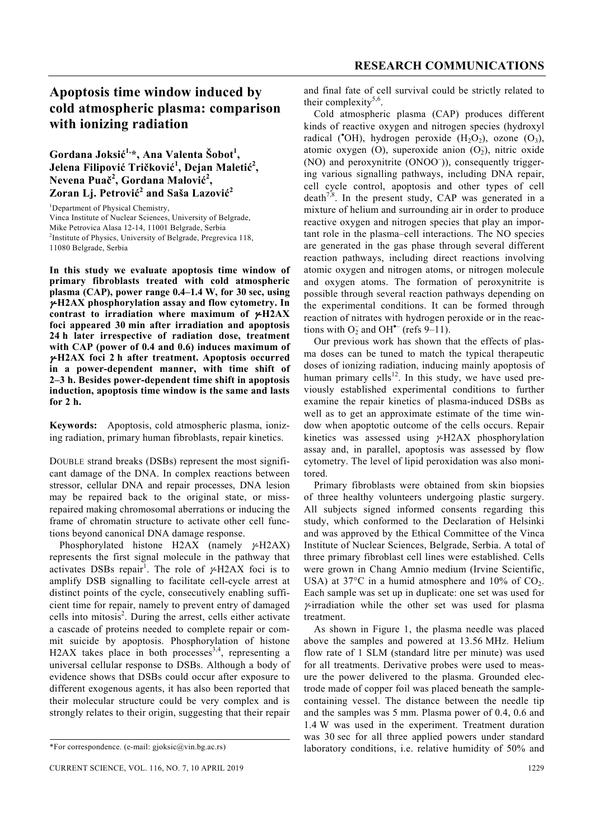# **Apoptosis time window induced by cold atmospheric plasma: comparison with ionizing radiation**

### $G$ ordana Joksić<sup>1,</sup>\*, Ana Valenta Šobot<sup>1</sup>, **Jelena Filipović Tričković 1 , Dejan Maletić<sup>2</sup> , Nevena Puač<sup>2</sup> , Gordana Malović 2 , Zoran Lj. Petrović 2 and Saša Lazović<sup>2</sup>**

<sup>1</sup>Department of Physical Chemistry, Vinca Institute of Nuclear Sciences, University of Belgrade, Mike Petrovica Alasa 12-14, 11001 Belgrade, Serbia <sup>2</sup>Institute of Physics, University of Belgrade, Pregrevica 118, 11080 Belgrade, Serbia

**In this study we evaluate apoptosis time window of primary fibroblasts treated with cold atmospheric plasma (CAP), power range 0.4–1.4 W, for 30 sec, using**  γ**-H2AX phosphorylation assay and flow cytometry. In contrast to irradiation where maximum of** γ**-H2AX foci appeared 30 min after irradiation and apoptosis 24 h later irrespective of radiation dose, treatment with CAP (power of 0.4 and 0.6) induces maximum of**  γ**-H2AX foci 2 h after treatment. Apoptosis occurred in a power-dependent manner, with time shift of 2–3 h. Besides power-dependent time shift in apoptosis induction, apoptosis time window is the same and lasts for 2 h.** 

**Keywords:** Apoptosis, cold atmospheric plasma, ionizing radiation, primary human fibroblasts, repair kinetics.

DOUBLE strand breaks (DSBs) represent the most significant damage of the DNA. In complex reactions between stressor, cellular DNA and repair processes, DNA lesion may be repaired back to the original state, or missrepaired making chromosomal aberrations or inducing the frame of chromatin structure to activate other cell functions beyond canonical DNA damage response.

 Phosphorylated histone H2AX (namely γ-H2AX) represents the first signal molecule in the pathway that activates DSBs repair<sup>1</sup>. The role of  $\gamma$ -H2AX foci is to amplify DSB signalling to facilitate cell-cycle arrest at distinct points of the cycle, consecutively enabling sufficient time for repair, namely to prevent entry of damaged cells into mitosis<sup>2</sup>. During the arrest, cells either activate a cascade of proteins needed to complete repair or commit suicide by apoptosis. Phosphorylation of histone H2AX takes place in both processes  $3,4$ , representing a universal cellular response to DSBs. Although a body of evidence shows that DSBs could occur after exposure to different exogenous agents, it has also been reported that their molecular structure could be very complex and is strongly relates to their origin, suggesting that their repair

and final fate of cell survival could be strictly related to their complexity<sup>5,6</sup>.

 Cold atmospheric plasma (CAP) produces different kinds of reactive oxygen and nitrogen species (hydroxyl radical (°OH), hydrogen peroxide  $(H_2O_2)$ , ozone  $(O_3)$ , atomic oxygen  $(O)$ , superoxide anion  $(O<sub>2</sub>)$ , nitric oxide (NO) and peroxynitrite (ONOO– )), consequently triggering various signalling pathways, including DNA repair, cell cycle control, apoptosis and other types of cell death<sup>7,8</sup>. In the present study, CAP was generated in a mixture of helium and surrounding air in order to produce reactive oxygen and nitrogen species that play an important role in the plasma–cell interactions. The NO species are generated in the gas phase through several different reaction pathways, including direct reactions involving atomic oxygen and nitrogen atoms, or nitrogen molecule and oxygen atoms. The formation of peroxynitrite is possible through several reaction pathways depending on the experimental conditions. It can be formed through reaction of nitrates with hydrogen peroxide or in the reactions with  $O_2^-$  and OH<sup>\*-</sup> (refs 9–11).

 Our previous work has shown that the effects of plasma doses can be tuned to match the typical therapeutic doses of ionizing radiation, inducing mainly apoptosis of human primary cells $^{12}$ . In this study, we have used previously established experimental conditions to further examine the repair kinetics of plasma-induced DSBs as well as to get an approximate estimate of the time window when apoptotic outcome of the cells occurs. Repair kinetics was assessed using γ-H2AX phosphorylation assay and, in parallel, apoptosis was assessed by flow cytometry. The level of lipid peroxidation was also monitored.

 Primary fibroblasts were obtained from skin biopsies of three healthy volunteers undergoing plastic surgery. All subjects signed informed consents regarding this study, which conformed to the Declaration of Helsinki and was approved by the Ethical Committee of the Vinca Institute of Nuclear Sciences, Belgrade, Serbia. A total of three primary fibroblast cell lines were established. Cells were grown in Chang Amnio medium (Irvine Scientific, USA) at  $37^{\circ}$ C in a humid atmosphere and  $10\%$  of CO<sub>2</sub>. Each sample was set up in duplicate: one set was used for γ-irradiation while the other set was used for plasma treatment.

 As shown in Figure 1, the plasma needle was placed above the samples and powered at 13.56 MHz. Helium flow rate of 1 SLM (standard litre per minute) was used for all treatments. Derivative probes were used to measure the power delivered to the plasma. Grounded electrode made of copper foil was placed beneath the samplecontaining vessel. The distance between the needle tip and the samples was 5 mm. Plasma power of 0.4, 0.6 and 1.4 W was used in the experiment. Treatment duration was 30 sec for all three applied powers under standard laboratory conditions, i.e. relative humidity of 50% and

<sup>\*</sup>For correspondence. (e-mail: gjoksic@vin.bg.ac.rs)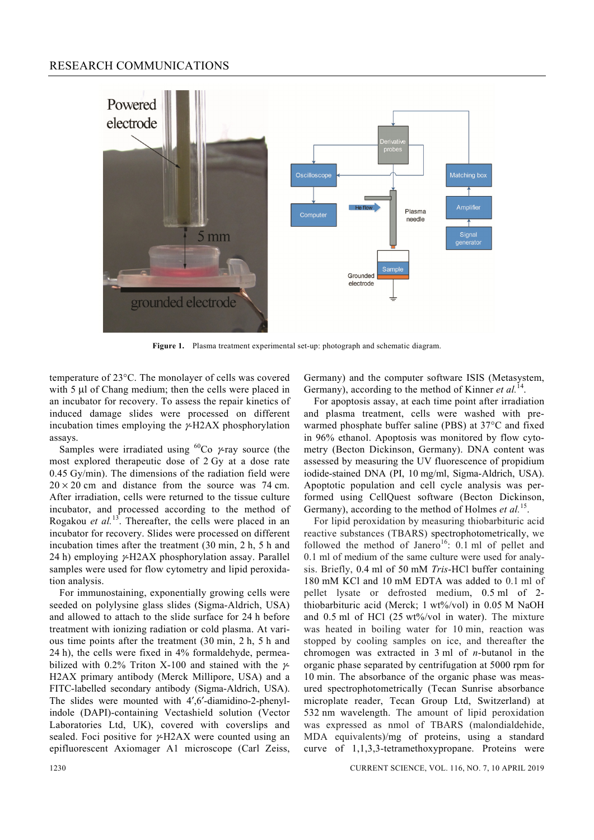### RESEARCH COMMUNICATIONS



**Figure 1.** Plasma treatment experimental set-up: photograph and schematic diagram.

temperature of 23°C. The monolayer of cells was covered with 5 μl of Chang medium; then the cells were placed in an incubator for recovery. To assess the repair kinetics of induced damage slides were processed on different incubation times employing the  $\gamma$ -H2AX phosphorylation assays.

Samples were irradiated using <sup>60</sup>Co  $\gamma$ -ray source (the most explored therapeutic dose of 2 Gy at a dose rate 0.45 Gy/min). The dimensions of the radiation field were  $20 \times 20$  cm and distance from the source was 74 cm. After irradiation, cells were returned to the tissue culture incubator, and processed according to the method of Rogakou *et al.*<sup>13</sup>. Thereafter, the cells were placed in an incubator for recovery. Slides were processed on different incubation times after the treatment (30 min, 2 h, 5 h and 24 h) employing γ-H2AX phosphorylation assay. Parallel samples were used for flow cytometry and lipid peroxidation analysis.

 For immunostaining, exponentially growing cells were seeded on polylysine glass slides (Sigma-Aldrich, USA) and allowed to attach to the slide surface for 24 h before treatment with ionizing radiation or cold plasma. At various time points after the treatment (30 min, 2 h, 5 h and 24 h), the cells were fixed in 4% formaldehyde, permeabilized with 0.2% Triton X-100 and stained with the  $\gamma$ -H2AX primary antibody (Merck Millipore, USA) and a FITC-labelled secondary antibody (Sigma-Aldrich, USA). The slides were mounted with 4',6'-diamidino-2-phenylindole (DAPI)-containing Vectashield solution (Vector Laboratories Ltd, UK), covered with coverslips and sealed. Foci positive for γ-H2AX were counted using an epifluorescent Axiomager A1 microscope (Carl Zeiss, Germany) and the computer software ISIS (Metasystem, Germany), according to the method of Kinner *et al.*<sup>14</sup>.

 For apoptosis assay, at each time point after irradiation and plasma treatment, cells were washed with prewarmed phosphate buffer saline (PBS) at 37°C and fixed in 96% ethanol. Apoptosis was monitored by flow cytometry (Becton Dickinson, Germany). DNA content was assessed by measuring the UV fluorescence of propidium iodide-stained DNA (PI, 10 mg/ml, Sigma-Aldrich, USA). Apoptotic population and cell cycle analysis was performed using CellQuest software (Becton Dickinson, Germany), according to the method of Holmes et al.<sup>15</sup>.

 For lipid peroxidation by measuring thiobarbituric acid reactive substances (TBARS) spectrophotometrically, we followed the method of Janero<sup>16</sup>:  $0.1$  ml of pellet and 0.1 ml of medium of the same culture were used for analysis. Briefly, 0.4 ml of 50 mM *Tris*-HCl buffer containing 180 mM KCl and 10 mM EDTA was added to 0.1 ml of pellet lysate or defrosted medium, 0.5 ml of 2 thiobarbituric acid (Merck; 1 wt%/vol) in 0.05 M NaOH and 0.5 ml of HCl (25 wt%/vol in water). The mixture was heated in boiling water for 10 min, reaction was stopped by cooling samples on ice, and thereafter the chromogen was extracted in 3 ml of *n*-butanol in the organic phase separated by centrifugation at 5000 rpm for 10 min. The absorbance of the organic phase was measured spectrophotometrically (Tecan Sunrise absorbance microplate reader, Tecan Group Ltd, Switzerland) at 532 nm wavelength. The amount of lipid peroxidation was expressed as nmol of TBARS (malondialdehide, MDA equivalents)/mg of proteins, using a standard curve of 1,1,3,3-tetramethoxypropane. Proteins were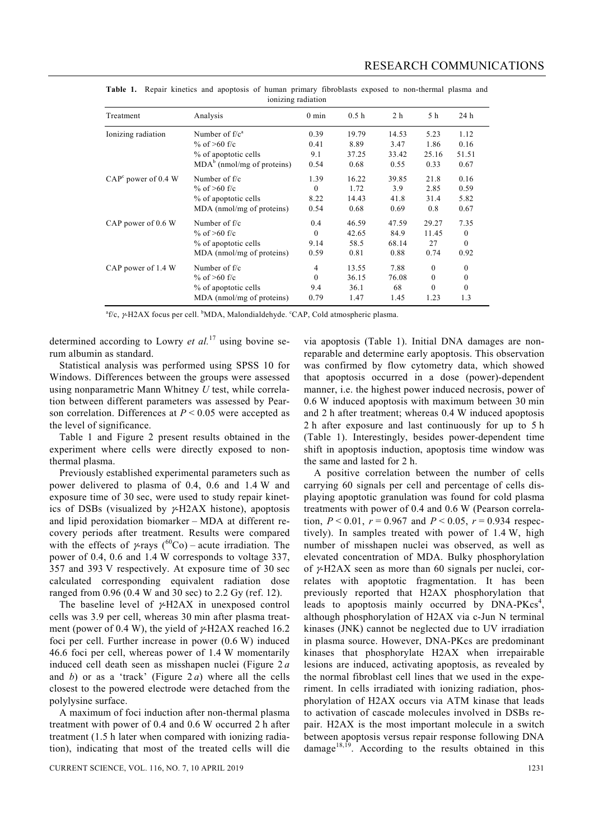| follizing radiation             |                              |                 |                  |                |              |              |  |
|---------------------------------|------------------------------|-----------------|------------------|----------------|--------------|--------------|--|
| Treatment                       | Analysis                     | $0 \text{ min}$ | 0.5 <sub>h</sub> | 2 <sub>h</sub> | 5 h          | 24 h         |  |
| Ionizing radiation              | Number of $f/ca$             | 0.39            | 19.79            | 14.53          | 5.23         | 1.12         |  |
|                                 | % of $>60$ f/c               | 0.41            | 8.89             | 3.47           | 1.86         | 0.16         |  |
|                                 | % of apoptotic cells         | 9.1             | 37.25            | 33.42          | 25.16        | 51.51        |  |
|                                 | $MDAb$ (nmol/mg of proteins) | 0.54            | 0.68             | 0.55           | 0.33         | 0.67         |  |
| CAP <sup>c</sup> power of 0.4 W | Number of f/c                | 1.39            | 16.22            | 39.85          | 21.8         | 0.16         |  |
|                                 | % of $>60$ f/c               | $\theta$        | 1.72             | 3.9            | 2.85         | 0.59         |  |
|                                 | % of apoptotic cells         | 8.22            | 14.43            | 41.8           | 31.4         | 5.82         |  |
|                                 | MDA (nmol/mg of proteins)    | 0.54            | 0.68             | 0.69           | 0.8          | 0.67         |  |
| CAP power of 0.6 W              | Number of $f/c$              | 0.4             | 46.59            | 47.59          | 29.27        | 7.35         |  |
|                                 | % of $>60$ f/c               | $\theta$        | 42.65            | 84.9           | 11.45        | $\mathbf{0}$ |  |
|                                 | % of apoptotic cells         | 9.14            | 58.5             | 68.14          | 27           | $\mathbf{0}$ |  |
|                                 | MDA (nmol/mg of proteins)    | 0.59            | 0.81             | 0.88           | 0.74         | 0.92         |  |
| CAP power of 1.4 W              | Number of $f/c$              | 4               | 13.55            | 7.88           | $\theta$     | $\mathbf{0}$ |  |
|                                 | % of $>60$ f/c               | $\Omega$        | 36.15            | 76.08          | $\mathbf{0}$ | $\mathbf{0}$ |  |
|                                 | % of apoptotic cells         | 9.4             | 36.1             | 68             | $\theta$     | $\mathbf{0}$ |  |
|                                 | MDA (nmol/mg of proteins)    | 0.79            | 1.47             | 1.45           | 1.23         | 1.3          |  |

**Table 1.** Repair kinetics and apoptosis of human primary fibroblasts exposed to non-thermal plasma and ionizing radiation

 ${}^{\text{a}}$ f/c,  $\gamma$ -H2AX focus per cell. <sup>b</sup>MDA, Malondialdehyde. <sup>c</sup>CAP, Cold atmospheric plasma.

determined according to Lowry *et al.*17 using bovine serum albumin as standard.

 Statistical analysis was performed using SPSS 10 for Windows. Differences between the groups were assessed using nonparametric Mann Whitney *U* test, while correlation between different parameters was assessed by Pearson correlation. Differences at *P* < 0.05 were accepted as the level of significance.

 Table 1 and Figure 2 present results obtained in the experiment where cells were directly exposed to nonthermal plasma.

 Previously established experimental parameters such as power delivered to plasma of 0.4, 0.6 and 1.4 W and exposure time of 30 sec, were used to study repair kinetics of DSBs (visualized by  $\gamma$ -H2AX histone), apoptosis and lipid peroxidation biomarker – MDA at different recovery periods after treatment. Results were compared with the effects of  $\gamma$ -rays (<sup>60</sup>Co) – acute irradiation. The power of 0.4, 0.6 and 1.4 W corresponds to voltage 337, 357 and 393 V respectively. At exposure time of 30 sec calculated corresponding equivalent radiation dose ranged from 0.96 (0.4 W and 30 sec) to 2.2 Gy (ref. 12).

The baseline level of  $\gamma$ -H2AX in unexposed control cells was 3.9 per cell, whereas 30 min after plasma treatment (power of 0.4 W), the yield of  $\gamma$ -H2AX reached 16.2 foci per cell. Further increase in power (0.6 W) induced 46.6 foci per cell, whereas power of 1.4 W momentarily induced cell death seen as misshapen nuclei (Figure 2 *a* and  $b$ ) or as a 'track' (Figure 2*a*) where all the cells closest to the powered electrode were detached from the polylysine surface.

 A maximum of foci induction after non-thermal plasma treatment with power of 0.4 and 0.6 W occurred 2 h after treatment (1.5 h later when compared with ionizing radiation), indicating that most of the treated cells will die

via apoptosis (Table 1). Initial DNA damages are nonreparable and determine early apoptosis. This observation was confirmed by flow cytometry data, which showed that apoptosis occurred in a dose (power)-dependent manner, i.e. the highest power induced necrosis, power of 0.6 W induced apoptosis with maximum between 30 min and 2 h after treatment; whereas 0.4 W induced apoptosis 2 h after exposure and last continuously for up to 5 h (Table 1). Interestingly, besides power-dependent time shift in apoptosis induction, apoptosis time window was the same and lasted for 2 h.

 A positive correlation between the number of cells carrying 60 signals per cell and percentage of cells displaying apoptotic granulation was found for cold plasma treatments with power of 0.4 and 0.6 W (Pearson correlation,  $P < 0.01$ ,  $r = 0.967$  and  $P < 0.05$ ,  $r = 0.934$  respectively). In samples treated with power of 1.4 W, high number of misshapen nuclei was observed, as well as elevated concentration of MDA. Bulky phosphorylation of  $\gamma$ -H2AX seen as more than 60 signals per nuclei, correlates with apoptotic fragmentation. It has been previously reported that H2AX phosphorylation that leads to apoptosis mainly occurred by  $DNA-PKcs<sup>4</sup>$ , although phosphorylation of H2AX via c-Jun N terminal kinases (JNK) cannot be neglected due to UV irradiation in plasma source. However, DNA-PKcs are predominant kinases that phosphorylate H2AX when irrepairable lesions are induced, activating apoptosis, as revealed by the normal fibroblast cell lines that we used in the experiment. In cells irradiated with ionizing radiation, phosphorylation of H2AX occurs via ATM kinase that leads to activation of cascade molecules involved in DSBs repair. H2AX is the most important molecule in a switch between apoptosis versus repair response following DNA  $\text{damage}^{18,\overline{19}}$ . According to the results obtained in this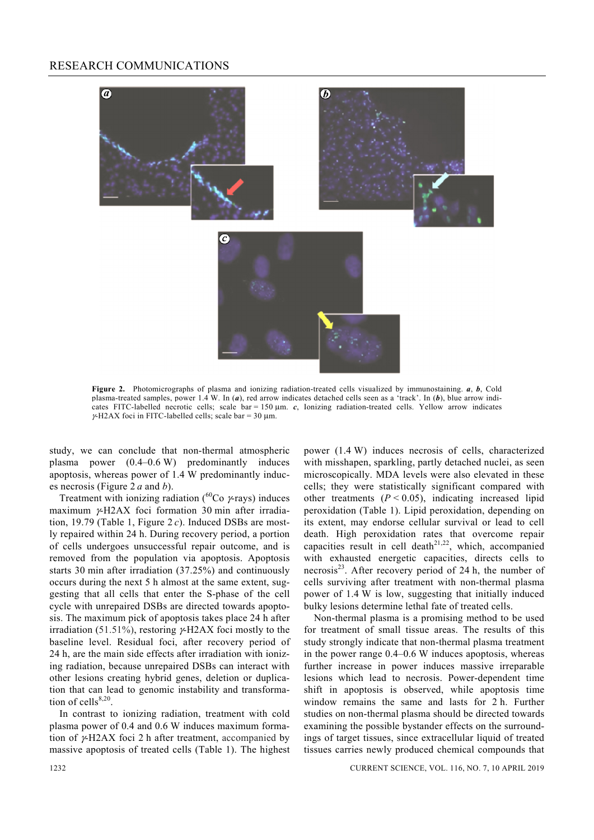#### RESEARCH COMMUNICATIONS



**Figure 2.** Photomicrographs of plasma and ionizing radiation-treated cells visualized by immunostaining. *a*, *b*, Cold plasma-treated samples, power 1.4 W. In (*a*), red arrow indicates detached cells seen as a 'track'. In (*b*), blue arrow indicates FITC-labelled necrotic cells; scale bar = 150 μm. *c*, Ionizing radiation-treated cells. Yellow arrow indicates  $\gamma$ -H2AX foci in FITC-labelled cells; scale bar = 30 µm.

study, we can conclude that non-thermal atmospheric plasma power (0.4–0.6 W) predominantly induces apoptosis, whereas power of 1.4 W predominantly induces necrosis (Figure 2 *a* and *b*).

Treatment with ionizing radiation ( ${}^{60}$ Co  $\gamma$ -rays) induces maximum γ-H2AX foci formation 30 min after irradiation, 19.79 (Table 1, Figure 2 *c*). Induced DSBs are mostly repaired within 24 h. During recovery period, a portion of cells undergoes unsuccessful repair outcome, and is removed from the population via apoptosis. Apoptosis starts 30 min after irradiation (37.25%) and continuously occurs during the next 5 h almost at the same extent, suggesting that all cells that enter the S-phase of the cell cycle with unrepaired DSBs are directed towards apoptosis. The maximum pick of apoptosis takes place 24 h after irradiation (51.51%), restoring  $\gamma$ -H2AX foci mostly to the baseline level. Residual foci, after recovery period of 24 h, are the main side effects after irradiation with ionizing radiation, because unrepaired DSBs can interact with other lesions creating hybrid genes, deletion or duplication that can lead to genomic instability and transformation of cells $8,20$ .

 In contrast to ionizing radiation, treatment with cold plasma power of 0.4 and 0.6 W induces maximum formation of γ-H2AX foci 2 h after treatment, accompanied by massive apoptosis of treated cells (Table 1). The highest power (1.4 W) induces necrosis of cells, characterized with misshapen, sparkling, partly detached nuclei, as seen microscopically. MDA levels were also elevated in these cells; they were statistically significant compared with other treatments  $(P < 0.05)$ , indicating increased lipid peroxidation (Table 1). Lipid peroxidation, depending on its extent, may endorse cellular survival or lead to cell death. High peroxidation rates that overcome repair capacities result in cell death<sup>21,22</sup>, which, accompanied with exhausted energetic capacities, directs cells to necrosis $^{23}$ . After recovery period of 24 h, the number of cells surviving after treatment with non-thermal plasma power of 1.4 W is low, suggesting that initially induced bulky lesions determine lethal fate of treated cells.

 Non-thermal plasma is a promising method to be used for treatment of small tissue areas. The results of this study strongly indicate that non-thermal plasma treatment in the power range 0.4–0.6 W induces apoptosis, whereas further increase in power induces massive irreparable lesions which lead to necrosis. Power-dependent time shift in apoptosis is observed, while apoptosis time window remains the same and lasts for 2 h. Further studies on non-thermal plasma should be directed towards examining the possible bystander effects on the surroundings of target tissues, since extracellular liquid of treated tissues carries newly produced chemical compounds that